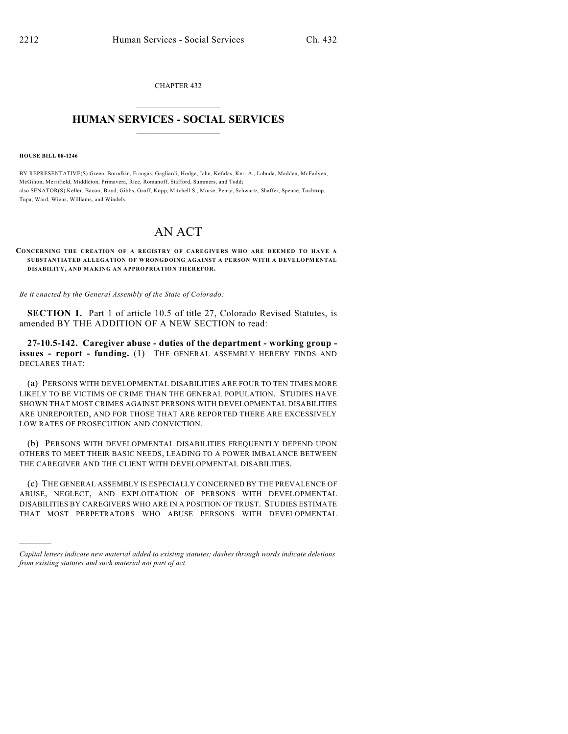CHAPTER 432  $\overline{\phantom{a}}$  . The set of the set of the set of the set of the set of the set of the set of the set of the set of the set of the set of the set of the set of the set of the set of the set of the set of the set of the set o

## **HUMAN SERVICES - SOCIAL SERVICES**  $\frac{1}{2}$  ,  $\frac{1}{2}$  ,  $\frac{1}{2}$  ,  $\frac{1}{2}$  ,  $\frac{1}{2}$  ,  $\frac{1}{2}$  ,  $\frac{1}{2}$

**HOUSE BILL 08-1246**

)))))

BY REPRESENTATIVE(S) Green, Borodkin, Frangas, Gagliardi, Hodge, Jahn, Kefalas, Kerr A., Labuda, Madden, McFadyen, McGihon, Merrifield, Middleton, Primavera, Rice, Romanoff, Stafford, Summers, and Todd; also SENATOR(S) Keller, Bacon, Boyd, Gibbs, Groff, Kopp, Mitchell S., Morse, Penry, Schwartz, Shaffer, Spence, Tochtrop, Tupa, Ward, Wiens, Williams, and Windels.

## AN ACT

## **CONCERNING THE CREATION OF A REGISTRY OF CAREGIVERS WHO ARE DEEMED TO HAVE A SUBSTANTIATED ALLEGATION OF WRONGDOING AGAINST A PERSON WITH A DEVELOPMENTAL DISABILITY, AND MAKING AN APPROPRIATION THEREFOR.**

*Be it enacted by the General Assembly of the State of Colorado:*

**SECTION 1.** Part 1 of article 10.5 of title 27, Colorado Revised Statutes, is amended BY THE ADDITION OF A NEW SECTION to read:

**27-10.5-142. Caregiver abuse - duties of the department - working group issues - report - funding.** (1) THE GENERAL ASSEMBLY HEREBY FINDS AND DECLARES THAT:

(a) PERSONS WITH DEVELOPMENTAL DISABILITIES ARE FOUR TO TEN TIMES MORE LIKELY TO BE VICTIMS OF CRIME THAN THE GENERAL POPULATION. STUDIES HAVE SHOWN THAT MOST CRIMES AGAINST PERSONS WITH DEVELOPMENTAL DISABILITIES ARE UNREPORTED, AND FOR THOSE THAT ARE REPORTED THERE ARE EXCESSIVELY LOW RATES OF PROSECUTION AND CONVICTION.

(b) PERSONS WITH DEVELOPMENTAL DISABILITIES FREQUENTLY DEPEND UPON OTHERS TO MEET THEIR BASIC NEEDS, LEADING TO A POWER IMBALANCE BETWEEN THE CAREGIVER AND THE CLIENT WITH DEVELOPMENTAL DISABILITIES.

(c) THE GENERAL ASSEMBLY IS ESPECIALLY CONCERNED BY THE PREVALENCE OF ABUSE, NEGLECT, AND EXPLOITATION OF PERSONS WITH DEVELOPMENTAL DISABILITIES BY CAREGIVERS WHO ARE IN A POSITION OF TRUST. STUDIES ESTIMATE THAT MOST PERPETRATORS WHO ABUSE PERSONS WITH DEVELOPMENTAL

*Capital letters indicate new material added to existing statutes; dashes through words indicate deletions from existing statutes and such material not part of act.*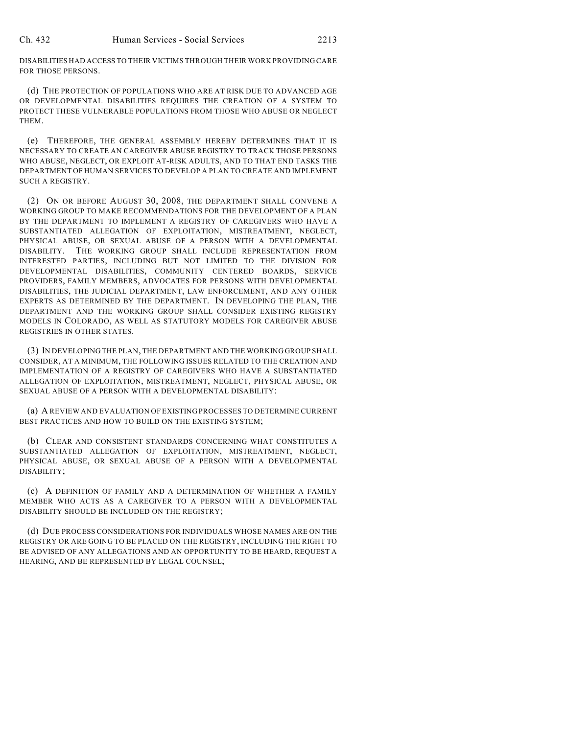DISABILITIES HAD ACCESS TO THEIR VICTIMS THROUGH THEIR WORK PROVIDING CARE FOR THOSE PERSONS.

(d) THE PROTECTION OF POPULATIONS WHO ARE AT RISK DUE TO ADVANCED AGE OR DEVELOPMENTAL DISABILITIES REQUIRES THE CREATION OF A SYSTEM TO PROTECT THESE VULNERABLE POPULATIONS FROM THOSE WHO ABUSE OR NEGLECT THEM.

(e) THEREFORE, THE GENERAL ASSEMBLY HEREBY DETERMINES THAT IT IS NECESSARY TO CREATE AN CAREGIVER ABUSE REGISTRY TO TRACK THOSE PERSONS WHO ABUSE, NEGLECT, OR EXPLOIT AT-RISK ADULTS, AND TO THAT END TASKS THE DEPARTMENT OF HUMAN SERVICES TO DEVELOP A PLAN TO CREATE AND IMPLEMENT SUCH A REGISTRY.

(2) ON OR BEFORE AUGUST 30, 2008, THE DEPARTMENT SHALL CONVENE A WORKING GROUP TO MAKE RECOMMENDATIONS FOR THE DEVELOPMENT OF A PLAN BY THE DEPARTMENT TO IMPLEMENT A REGISTRY OF CAREGIVERS WHO HAVE A SUBSTANTIATED ALLEGATION OF EXPLOITATION, MISTREATMENT, NEGLECT, PHYSICAL ABUSE, OR SEXUAL ABUSE OF A PERSON WITH A DEVELOPMENTAL DISABILITY. THE WORKING GROUP SHALL INCLUDE REPRESENTATION FROM INTERESTED PARTIES, INCLUDING BUT NOT LIMITED TO THE DIVISION FOR DEVELOPMENTAL DISABILITIES, COMMUNITY CENTERED BOARDS, SERVICE PROVIDERS, FAMILY MEMBERS, ADVOCATES FOR PERSONS WITH DEVELOPMENTAL DISABILITIES, THE JUDICIAL DEPARTMENT, LAW ENFORCEMENT, AND ANY OTHER EXPERTS AS DETERMINED BY THE DEPARTMENT. IN DEVELOPING THE PLAN, THE DEPARTMENT AND THE WORKING GROUP SHALL CONSIDER EXISTING REGISTRY MODELS IN COLORADO, AS WELL AS STATUTORY MODELS FOR CAREGIVER ABUSE REGISTRIES IN OTHER STATES.

(3) IN DEVELOPING THE PLAN, THE DEPARTMENT AND THE WORKING GROUP SHALL CONSIDER, AT A MINIMUM, THE FOLLOWING ISSUES RELATED TO THE CREATION AND IMPLEMENTATION OF A REGISTRY OF CAREGIVERS WHO HAVE A SUBSTANTIATED ALLEGATION OF EXPLOITATION, MISTREATMENT, NEGLECT, PHYSICAL ABUSE, OR SEXUAL ABUSE OF A PERSON WITH A DEVELOPMENTAL DISABILITY:

(a) A REVIEW AND EVALUATION OF EXISTING PROCESSES TO DETERMINE CURRENT BEST PRACTICES AND HOW TO BUILD ON THE EXISTING SYSTEM:

(b) CLEAR AND CONSISTENT STANDARDS CONCERNING WHAT CONSTITUTES A SUBSTANTIATED ALLEGATION OF EXPLOITATION, MISTREATMENT, NEGLECT, PHYSICAL ABUSE, OR SEXUAL ABUSE OF A PERSON WITH A DEVELOPMENTAL DISABILITY;

(c) A DEFINITION OF FAMILY AND A DETERMINATION OF WHETHER A FAMILY MEMBER WHO ACTS AS A CAREGIVER TO A PERSON WITH A DEVELOPMENTAL DISABILITY SHOULD BE INCLUDED ON THE REGISTRY;

(d) DUE PROCESS CONSIDERATIONS FOR INDIVIDUALS WHOSE NAMES ARE ON THE REGISTRY OR ARE GOING TO BE PLACED ON THE REGISTRY, INCLUDING THE RIGHT TO BE ADVISED OF ANY ALLEGATIONS AND AN OPPORTUNITY TO BE HEARD, REQUEST A HEARING, AND BE REPRESENTED BY LEGAL COUNSEL;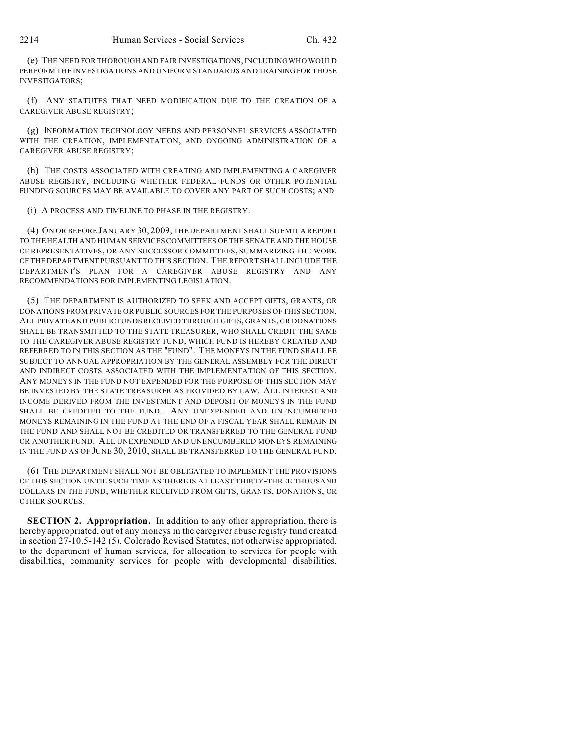(e) THE NEED FOR THOROUGH AND FAIR INVESTIGATIONS, INCLUDING WHO WOULD PERFORM THE INVESTIGATIONS AND UNIFORM STANDARDS AND TRAINING FOR THOSE INVESTIGATORS;

(f) ANY STATUTES THAT NEED MODIFICATION DUE TO THE CREATION OF A CAREGIVER ABUSE REGISTRY;

(g) INFORMATION TECHNOLOGY NEEDS AND PERSONNEL SERVICES ASSOCIATED WITH THE CREATION, IMPLEMENTATION, AND ONGOING ADMINISTRATION OF A CAREGIVER ABUSE REGISTRY;

(h) THE COSTS ASSOCIATED WITH CREATING AND IMPLEMENTING A CAREGIVER ABUSE REGISTRY, INCLUDING WHETHER FEDERAL FUNDS OR OTHER POTENTIAL FUNDING SOURCES MAY BE AVAILABLE TO COVER ANY PART OF SUCH COSTS; AND

(i) A PROCESS AND TIMELINE TO PHASE IN THE REGISTRY.

(4) ON OR BEFORE JANUARY 30, 2009, THE DEPARTMENT SHALL SUBMIT A REPORT TO THE HEALTH AND HUMAN SERVICES COMMITTEES OF THE SENATE AND THE HOUSE OF REPRESENTATIVES, OR ANY SUCCESSOR COMMITTEES, SUMMARIZING THE WORK OF THE DEPARTMENT PURSUANT TO THIS SECTION. THE REPORT SHALL INCLUDE THE DEPARTMENT'S PLAN FOR A CAREGIVER ABUSE REGISTRY AND ANY RECOMMENDATIONS FOR IMPLEMENTING LEGISLATION.

(5) THE DEPARTMENT IS AUTHORIZED TO SEEK AND ACCEPT GIFTS, GRANTS, OR DONATIONS FROM PRIVATE OR PUBLIC SOURCES FOR THE PURPOSES OF THIS SECTION. ALL PRIVATE AND PUBLIC FUNDS RECEIVED THROUGH GIFTS, GRANTS, OR DONATIONS SHALL BE TRANSMITTED TO THE STATE TREASURER, WHO SHALL CREDIT THE SAME TO THE CAREGIVER ABUSE REGISTRY FUND, WHICH FUND IS HEREBY CREATED AND REFERRED TO IN THIS SECTION AS THE "FUND". THE MONEYS IN THE FUND SHALL BE SUBJECT TO ANNUAL APPROPRIATION BY THE GENERAL ASSEMBLY FOR THE DIRECT AND INDIRECT COSTS ASSOCIATED WITH THE IMPLEMENTATION OF THIS SECTION. ANY MONEYS IN THE FUND NOT EXPENDED FOR THE PURPOSE OF THIS SECTION MAY BE INVESTED BY THE STATE TREASURER AS PROVIDED BY LAW. ALL INTEREST AND INCOME DERIVED FROM THE INVESTMENT AND DEPOSIT OF MONEYS IN THE FUND SHALL BE CREDITED TO THE FUND. ANY UNEXPENDED AND UNENCUMBERED MONEYS REMAINING IN THE FUND AT THE END OF A FISCAL YEAR SHALL REMAIN IN THE FUND AND SHALL NOT BE CREDITED OR TRANSFERRED TO THE GENERAL FUND OR ANOTHER FUND. ALL UNEXPENDED AND UNENCUMBERED MONEYS REMAINING IN THE FUND AS OF JUNE 30, 2010, SHALL BE TRANSFERRED TO THE GENERAL FUND.

(6) THE DEPARTMENT SHALL NOT BE OBLIGATED TO IMPLEMENT THE PROVISIONS OF THIS SECTION UNTIL SUCH TIME AS THERE IS AT LEAST THIRTY-THREE THOUSAND DOLLARS IN THE FUND, WHETHER RECEIVED FROM GIFTS, GRANTS, DONATIONS, OR OTHER SOURCES.

**SECTION 2. Appropriation.** In addition to any other appropriation, there is hereby appropriated, out of any moneys in the caregiver abuse registry fund created in section 27-10.5-142 (5), Colorado Revised Statutes, not otherwise appropriated, to the department of human services, for allocation to services for people with disabilities, community services for people with developmental disabilities,